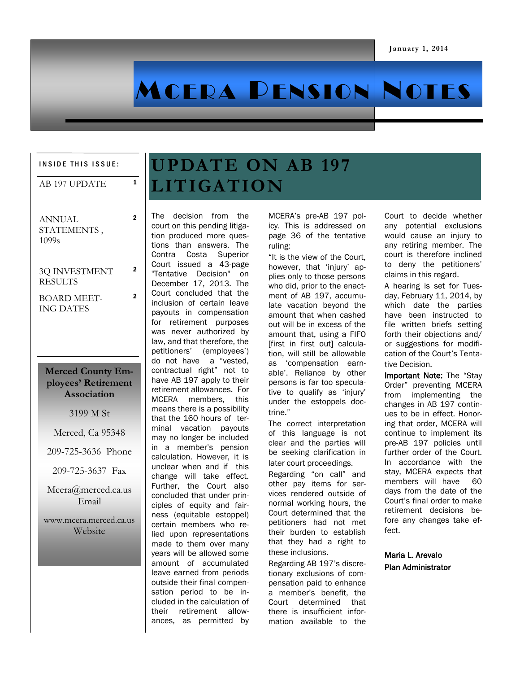# MCERA PENSION NOTES

#### INSIDE THIS ISSUE:

### $AB$  197 UPDATE  $1$

ANNUAL STATEMENTS , 1099s

2

2

2

#### 3Q INVESTMENT RESULTS

BOARD MEET-ING DATES

### **Merced County Employees' Retirement Association**

3199 M St

Merced, Ca 95348

209-725-3636 Phone

209-725-3637 Fax

Mcera@merced.ca.us Email

www.mcera.merced.ca.us Website

## **UPDATE ON AB 197 LITIGATION**

The decision from the court on this pending litigation produced more questions than answers. The Contra Costa Superior Court issued a 43-page "Tentative Decision" on December 17, 2013. The Court concluded that the inclusion of certain leave payouts in compensation for retirement purposes was never authorized by law, and that therefore, the petitioners' (employees') do not have a "vested, contractual right" not to have AB 197 apply to their retirement allowances. For MCERA members, this means there is a possibility that the 160 hours of terminal vacation payouts may no longer be included in a member's pension calculation. However, it is unclear when and if this change will take effect. Further, the Court also concluded that under principles of equity and fairness (equitable estoppel) certain members who relied upon representations made to them over many years will be allowed some amount of accumulated leave earned from periods outside their final compensation period to be included in the calculation of their retirement allowances, as permitted by MCERA's pre-AB 197 policy. This is addressed on page 36 of the tentative ruling:

"It is the view of the Court, however, that 'injury' applies only to those persons who did, prior to the enactment of AB 197, accumulate vacation beyond the amount that when cashed out will be in excess of the amount that, using a FIFO [first in first out] calculation, will still be allowable as 'compensation earnable'. Reliance by other persons is far too speculative to qualify as 'injury' under the estoppels doctrine."

The correct interpretation of this language is not clear and the parties will be seeking clarification in later court proceedings.

Regarding "on call" and other pay items for services rendered outside of normal working hours, the Court determined that the petitioners had not met their burden to establish that they had a right to these inclusions.

Regarding AB 197's discretionary exclusions of compensation paid to enhance a member's benefit, the Court determined that there is insufficient information available to the Court to decide whether any potential exclusions would cause an injury to any retiring member. The court is therefore inclined to deny the petitioners' claims in this regard.

A hearing is set for Tuesday, February 11, 2014, by which date the parties have been instructed to file written briefs setting forth their objections and/ or suggestions for modification of the Court's Tentative Decision.

Important Note: The "Stay Order" preventing MCERA from implementing the changes in AB 197 continues to be in effect. Honoring that order, MCERA will continue to implement its pre-AB 197 policies until further order of the Court. In accordance with the stay, MCERA expects that members will have 60 days from the date of the Court's final order to make retirement decisions before any changes take effect.

Maria L. Arevalo Plan Administrator